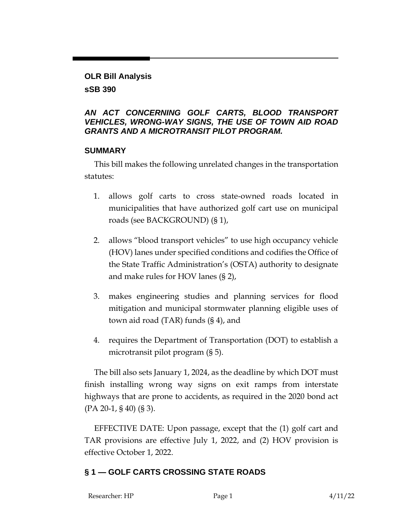#### **OLR Bill Analysis**

### **sSB 390**

## *AN ACT CONCERNING GOLF CARTS, BLOOD TRANSPORT VEHICLES, WRONG-WAY SIGNS, THE USE OF TOWN AID ROAD GRANTS AND A MICROTRANSIT PILOT PROGRAM.*

### **SUMMARY**

This bill makes the following unrelated changes in the transportation statutes:

- 1. allows golf carts to cross state-owned roads located in municipalities that have authorized golf cart use on municipal roads (see BACKGROUND) (§ 1),
- 2. allows "blood transport vehicles" to use high occupancy vehicle (HOV) lanes under specified conditions and codifies the Office of the State Traffic Administration's (OSTA) authority to designate and make rules for HOV lanes (§ 2),
- 3. makes engineering studies and planning services for flood mitigation and municipal stormwater planning eligible uses of town aid road (TAR) funds (§ 4), and
- 4. requires the Department of Transportation (DOT) to establish a microtransit pilot program (§ 5).

The bill also sets January 1, 2024, as the deadline by which DOT must finish installing wrong way signs on exit ramps from interstate highways that are prone to accidents, as required in the 2020 bond act (PA 20-1, § 40) (§ 3).

EFFECTIVE DATE: Upon passage, except that the (1) golf cart and TAR provisions are effective July 1, 2022, and (2) HOV provision is effective October 1, 2022.

# **§ 1 — GOLF CARTS CROSSING STATE ROADS**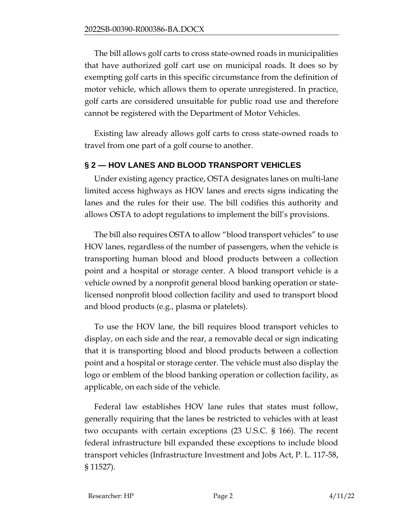The bill allows golf carts to cross state-owned roads in municipalities that have authorized golf cart use on municipal roads. It does so by exempting golf carts in this specific circumstance from the definition of motor vehicle, which allows them to operate unregistered. In practice, golf carts are considered unsuitable for public road use and therefore cannot be registered with the Department of Motor Vehicles.

Existing law already allows golf carts to cross state-owned roads to travel from one part of a golf course to another.

# **§ 2 — HOV LANES AND BLOOD TRANSPORT VEHICLES**

Under existing agency practice, OSTA designates lanes on multi-lane limited access highways as HOV lanes and erects signs indicating the lanes and the rules for their use. The bill codifies this authority and allows OSTA to adopt regulations to implement the bill's provisions.

The bill also requires OSTA to allow "blood transport vehicles" to use HOV lanes, regardless of the number of passengers, when the vehicle is transporting human blood and blood products between a collection point and a hospital or storage center. A blood transport vehicle is a vehicle owned by a nonprofit general blood banking operation or statelicensed nonprofit blood collection facility and used to transport blood and blood products (e.g., plasma or platelets).

To use the HOV lane, the bill requires blood transport vehicles to display, on each side and the rear, a removable decal or sign indicating that it is transporting blood and blood products between a collection point and a hospital or storage center. The vehicle must also display the logo or emblem of the blood banking operation or collection facility, as applicable, on each side of the vehicle.

Federal law establishes HOV lane rules that states must follow, generally requiring that the lanes be restricted to vehicles with at least two occupants with certain exceptions (23 U.S.C. § 166). The recent federal infrastructure bill expanded these exceptions to include blood transport vehicles (Infrastructure Investment and Jobs Act, P. L. 117-58, § 11527).